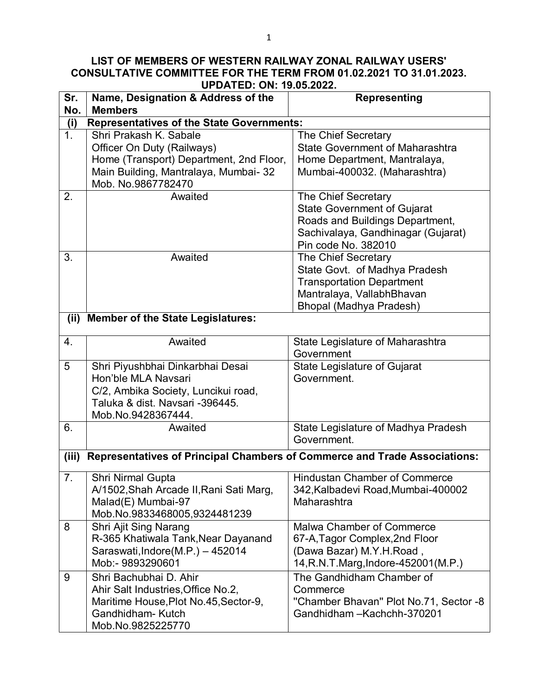## **LIST OF MEMBERS OF WESTERN RAILWAY ZONAL RAILWAY USERS' CONSULTATIVE COMMITTEE FOR THE TERM FROM 01.02.2021 TO 31.01.2023. UPDATED: ON: 19.05.2022.**

| Sr.<br>No. | Name, Designation & Address of the<br><b>Members</b>                                                                                                    | <b>Representing</b>                                                                                                                                       |  |
|------------|---------------------------------------------------------------------------------------------------------------------------------------------------------|-----------------------------------------------------------------------------------------------------------------------------------------------------------|--|
| (i)        | <b>Representatives of the State Governments:</b>                                                                                                        |                                                                                                                                                           |  |
| 1.         | Shri Prakash K. Sabale<br>Officer On Duty (Railways)<br>Home (Transport) Department, 2nd Floor,<br>Main Building, Mantralaya, Mumbai- 32                | <b>The Chief Secretary</b><br><b>State Government of Maharashtra</b><br>Home Department, Mantralaya,<br>Mumbai-400032. (Maharashtra)                      |  |
|            | Mob. No.9867782470                                                                                                                                      |                                                                                                                                                           |  |
| 2.         | Awaited                                                                                                                                                 | The Chief Secretary<br><b>State Government of Gujarat</b><br>Roads and Buildings Department,<br>Sachivalaya, Gandhinagar (Gujarat)<br>Pin code No. 382010 |  |
| 3.         | Awaited                                                                                                                                                 | The Chief Secretary<br>State Govt. of Madhya Pradesh<br><b>Transportation Department</b><br>Mantralaya, VallabhBhavan<br>Bhopal (Madhya Pradesh)          |  |
| (ii)       | <b>Member of the State Legislatures:</b>                                                                                                                |                                                                                                                                                           |  |
| 4.         | Awaited                                                                                                                                                 | State Legislature of Maharashtra<br>Government                                                                                                            |  |
| 5          | Shri Piyushbhai Dinkarbhai Desai<br>Hon'ble MLA Navsari<br>C/2, Ambika Society, Luncikui road,<br>Taluka & dist. Navsari -396445.<br>Mob.No.9428367444. | State Legislature of Gujarat<br>Government.                                                                                                               |  |
| 6.         | Awaited                                                                                                                                                 | State Legislature of Madhya Pradesh<br>Government.                                                                                                        |  |
| (iii)      | Representatives of Principal Chambers of Commerce and Trade Associations:                                                                               |                                                                                                                                                           |  |
| 7.         | Shri Nirmal Gupta<br>A/1502, Shah Arcade II, Rani Sati Marg,<br>Malad(E) Mumbai-97<br>Mob.No.9833468005,9324481239                                      | <b>Hindustan Chamber of Commerce</b><br>342, Kalbadevi Road, Mumbai-400002<br>Maharashtra                                                                 |  |
| 8          | Shri Ajit Sing Narang<br>R-365 Khatiwala Tank, Near Dayanand<br>Saraswati, Indore (M.P.) - 452014<br>Mob:- 9893290601                                   | Malwa Chamber of Commerce<br>67-A, Tagor Complex, 2nd Floor<br>(Dawa Bazar) M.Y.H.Road,<br>14, R.N.T. Marg, Indore-452001 (M.P.)                          |  |
| 9          | Shri Bachubhai D. Ahir<br>Ahir Salt Industries, Office No.2,<br>Maritime House, Plot No.45, Sector-9,<br>Gandhidham-Kutch<br>Mob.No.9825225770          | The Gandhidham Chamber of<br>Commerce<br>"Chamber Bhavan" Plot No.71, Sector -8<br>Gandhidham-Kachchh-370201                                              |  |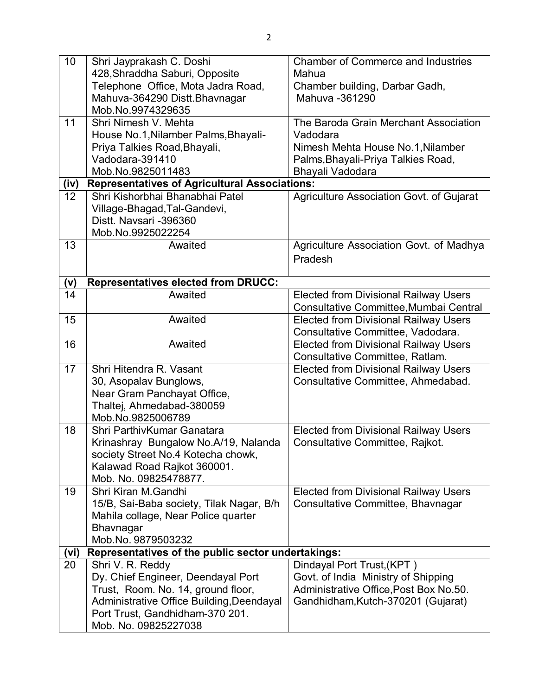| 10   | Shri Jayprakash C. Doshi                             | <b>Chamber of Commerce and Industries</b>    |
|------|------------------------------------------------------|----------------------------------------------|
|      | 428, Shraddha Saburi, Opposite                       | Mahua                                        |
|      | Telephone Office, Mota Jadra Road,                   | Chamber building, Darbar Gadh,               |
|      | Mahuva-364290 Distt.Bhavnagar                        | Mahuva -361290                               |
|      | Mob.No.9974329635                                    |                                              |
| 11   | Shri Nimesh V. Mehta                                 | The Baroda Grain Merchant Association        |
|      | House No.1, Nilamber Palms, Bhayali-                 | Vadodara                                     |
|      | Priya Talkies Road, Bhayali,                         | Nimesh Mehta House No.1, Nilamber            |
|      | Vadodara-391410                                      | Palms, Bhayali-Priya Talkies Road,           |
|      | Mob.No.9825011483                                    | Bhayali Vadodara                             |
| (iv) | <b>Representatives of Agricultural Associations:</b> |                                              |
| 12   | Shri Kishorbhai Bhanabhai Patel                      | Agriculture Association Govt. of Gujarat     |
|      | Village-Bhagad, Tal-Gandevi,                         |                                              |
|      | Distt. Navsari -396360                               |                                              |
|      | Mob.No.9925022254                                    |                                              |
| 13   | Awaited                                              | Agriculture Association Govt. of Madhya      |
|      |                                                      | Pradesh                                      |
|      |                                                      |                                              |
| (v)  | <b>Representatives elected from DRUCC:</b>           |                                              |
| 14   | Awaited                                              | <b>Elected from Divisional Railway Users</b> |
|      |                                                      | Consultative Committee, Mumbai Central       |
| 15   | Awaited                                              | <b>Elected from Divisional Railway Users</b> |
|      |                                                      | Consultative Committee, Vadodara.            |
| 16   | Awaited                                              | <b>Elected from Divisional Railway Users</b> |
|      |                                                      | Consultative Committee, Ratlam.              |
| 17   | Shri Hitendra R. Vasant                              | <b>Elected from Divisional Railway Users</b> |
|      | 30, Asopalav Bunglows,                               | Consultative Committee, Ahmedabad.           |
|      | Near Gram Panchayat Office,                          |                                              |
|      | Thaltej, Ahmedabad-380059                            |                                              |
|      | Mob.No.9825006789                                    |                                              |
| 18   | Shri ParthivKumar Ganatara                           | <b>Elected from Divisional Railway Users</b> |
|      | Krinashray Bungalow No.A/19, Nalanda                 | Consultative Committee, Rajkot.              |
|      | society Street No.4 Kotecha chowk,                   |                                              |
|      | Kalawad Road Rajkot 360001.                          |                                              |
|      | Mob. No. 09825478877.                                |                                              |
| 19   | Shri Kiran M.Gandhi                                  | <b>Elected from Divisional Railway Users</b> |
|      | 15/B, Sai-Baba society, Tilak Nagar, B/h             | Consultative Committee, Bhavnagar            |
|      | Mahila collage, Near Police quarter                  |                                              |
|      | <b>Bhavnagar</b>                                     |                                              |
|      | Mob.No. 9879503232                                   |                                              |
| (vi) | Representatives of the public sector undertakings:   |                                              |
| 20   | Shri V. R. Reddy                                     | Dindayal Port Trust, (KPT)                   |
|      | Dy. Chief Engineer, Deendayal Port                   | Govt. of India Ministry of Shipping          |
|      | Trust, Room. No. 14, ground floor,                   | Administrative Office, Post Box No.50.       |
|      | Administrative Office Building, Deendayal            | Gandhidham, Kutch-370201 (Gujarat)           |
|      | Port Trust, Gandhidham-370 201.                      |                                              |
|      | Mob. No. 09825227038                                 |                                              |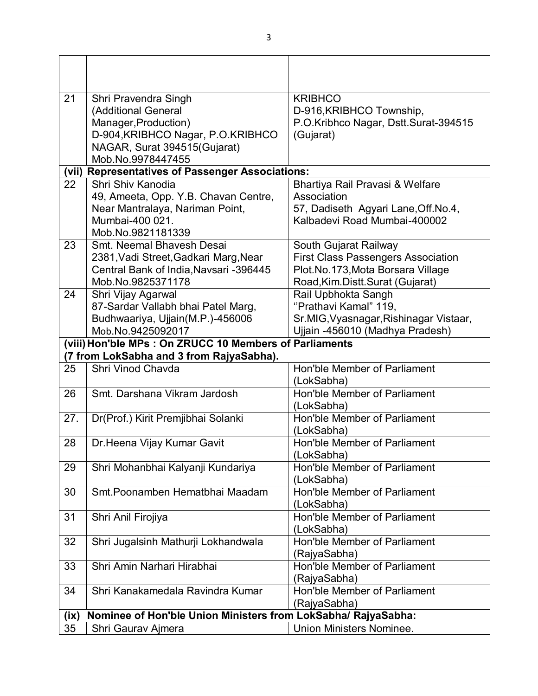| 21   | Shri Pravendra Singh                                          | <b>KRIBHCO</b>                            |
|------|---------------------------------------------------------------|-------------------------------------------|
|      | (Additional General                                           | D-916, KRIBHCO Township,                  |
|      | Manager, Production)                                          | P.O.Kribhco Nagar, Dstt.Surat-394515      |
|      | D-904, KRIBHCO Nagar, P.O. KRIBHCO                            | (Gujarat)                                 |
|      | NAGAR, Surat 394515(Gujarat)                                  |                                           |
|      | Mob.No.9978447455                                             |                                           |
|      | (vii) Representatives of Passenger Associations:              |                                           |
| 22   | Shri Shiv Kanodia                                             | Bhartiya Rail Pravasi & Welfare           |
|      | 49, Ameeta, Opp. Y.B. Chavan Centre,                          | Association                               |
|      | Near Mantralaya, Nariman Point,                               | 57, Dadiseth Agyari Lane, Off. No. 4,     |
|      | Mumbai-400 021.                                               | Kalbadevi Road Mumbai-400002              |
|      | Mob.No.9821181339                                             |                                           |
| 23   | Smt. Neemal Bhavesh Desai                                     | South Gujarat Railway                     |
|      | 2381, Vadi Street, Gadkari Marg, Near                         | <b>First Class Passengers Association</b> |
|      | Central Bank of India, Navsari -396445                        | Plot.No.173, Mota Borsara Village         |
|      | Mob.No.9825371178                                             | Road, Kim. Distt. Surat (Gujarat)         |
| 24   | Shri Vijay Agarwal                                            | Rail Upbhokta Sangh                       |
|      | 87-Sardar Vallabh bhai Patel Marg,                            | "Prathavi Kamal" 119,                     |
|      | Budhwaariya, Ujjain(M.P.)-456006                              | Sr.MIG, Vyasnagar, Rishinagar Vistaar,    |
|      | Mob.No.9425092017                                             | Ujjain -456010 (Madhya Pradesh)           |
|      | (viii) Hon'ble MPs: On ZRUCC 10 Members of Parliaments        |                                           |
|      | (7 from LokSabha and 3 from RajyaSabha).                      |                                           |
| 25   | Shri Vinod Chavda                                             | Hon'ble Member of Parliament              |
|      |                                                               | (LokSabha)                                |
| 26   | Smt. Darshana Vikram Jardosh                                  | Hon'ble Member of Parliament              |
|      |                                                               | (LokSabha)                                |
| 27.  | Dr(Prof.) Kirit Premjibhai Solanki                            | Hon'ble Member of Parliament              |
|      |                                                               | (LokSabha)                                |
| 28   | Dr. Heena Vijay Kumar Gavit                                   | Hon'ble Member of Parliament              |
|      |                                                               | (LokSabha)                                |
| 29   | Shri Mohanbhai Kalyanji Kundariya                             | Hon'ble Member of Parliament              |
|      |                                                               | (LokSabha)                                |
| 30   | Smt. Poonamben Hematbhai Maadam                               | Hon'ble Member of Parliament              |
|      |                                                               | (LokSabha)                                |
| 31   | Shri Anil Firojiya                                            | Hon'ble Member of Parliament              |
|      |                                                               | (LokSabha)                                |
| 32   | Shri Jugalsinh Mathurji Lokhandwala                           | Hon'ble Member of Parliament              |
|      |                                                               | (RajyaSabha)                              |
| 33   | Shri Amin Narhari Hirabhai                                    | Hon'ble Member of Parliament              |
|      |                                                               | (RajyaSabha)                              |
| 34   | Shri Kanakamedala Ravindra Kumar                              | Hon'ble Member of Parliament              |
|      |                                                               | (RajyaSabha)                              |
| (ix) | Nominee of Hon'ble Union Ministers from LokSabha/ RajyaSabha: |                                           |
| 35   | Shri Gaurav Ajmera                                            | <b>Union Ministers Nominee.</b>           |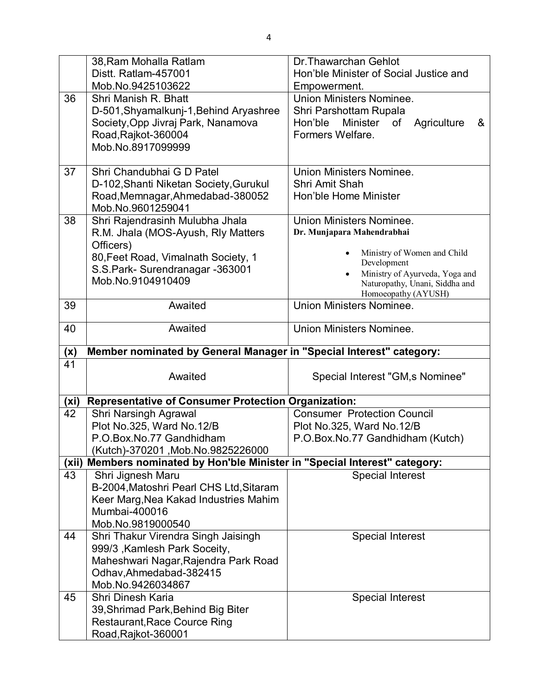|                         | 38, Ram Mohalla Ratlam                                                      | Dr. Thawarchan Gehlot                                         |
|-------------------------|-----------------------------------------------------------------------------|---------------------------------------------------------------|
|                         | Distt. Ratlam-457001                                                        | Hon'ble Minister of Social Justice and                        |
|                         | Mob.No.9425103622                                                           | Empowerment.                                                  |
| 36                      | Shri Manish R. Bhatt                                                        | <b>Union Ministers Nominee.</b>                               |
|                         | D-501, Shyamalkunj-1, Behind Aryashree                                      | Shri Parshottam Rupala                                        |
|                         | Society, Opp Jivraj Park, Nanamova                                          | Minister<br>of<br>Agriculture<br>Hon'ble<br>&                 |
|                         | Road, Rajkot-360004                                                         | Formers Welfare.                                              |
|                         | Mob.No.8917099999                                                           |                                                               |
|                         |                                                                             |                                                               |
| 37                      | Shri Chandubhai G D Patel                                                   | <b>Union Ministers Nominee.</b>                               |
|                         | D-102, Shanti Niketan Society, Gurukul                                      | <b>Shri Amit Shah</b>                                         |
|                         | Road, Memnagar, Ahmedabad-380052                                            | Hon'ble Home Minister                                         |
|                         | Mob.No.9601259041                                                           |                                                               |
| 38                      | Shri Rajendrasinh Mulubha Jhala                                             | <b>Union Ministers Nominee.</b>                               |
|                         | R.M. Jhala (MOS-Ayush, Rly Matters                                          | Dr. Munjapara Mahendrabhai                                    |
|                         | Officers)<br>80, Feet Road, Vimalnath Society, 1                            | Ministry of Women and Child                                   |
|                         | S.S. Park-Surendranagar - 363001                                            | Development                                                   |
|                         | Mob.No.9104910409                                                           | Ministry of Ayurveda, Yoga and                                |
|                         |                                                                             | Naturopathy, Unani, Siddha and<br>Homoeopathy (AYUSH)         |
| 39                      | Awaited                                                                     | <b>Union Ministers Nominee.</b>                               |
|                         |                                                                             |                                                               |
| 40                      | Awaited                                                                     | Union Ministers Nominee.                                      |
|                         |                                                                             |                                                               |
|                         |                                                                             |                                                               |
| (x)                     | Member nominated by General Manager in "Special Interest" category:         |                                                               |
| 41                      |                                                                             |                                                               |
|                         | Awaited                                                                     | Special Interest "GM, s Nominee"                              |
|                         |                                                                             |                                                               |
| (x <sub>i</sub> )<br>42 | <b>Representative of Consumer Protection Organization:</b>                  | <b>Consumer Protection Council</b>                            |
|                         | Shri Narsingh Agrawal                                                       |                                                               |
|                         | Plot No.325, Ward No.12/B<br>P.O.Box.No.77 Gandhidham                       | Plot No.325, Ward No.12/B<br>P.O.Box.No.77 Gandhidham (Kutch) |
|                         | Kutch)-370201, Mob.No.9825226000                                            |                                                               |
|                         | (xii) Members nominated by Hon'ble Minister in "Special Interest" category: |                                                               |
| 43                      | Shri Jignesh Maru                                                           | <b>Special Interest</b>                                       |
|                         | B-2004, Matoshri Pearl CHS Ltd, Sitaram                                     |                                                               |
|                         | Keer Marg, Nea Kakad Industries Mahim                                       |                                                               |
|                         | Mumbai-400016                                                               |                                                               |
|                         | Mob.No.9819000540                                                           |                                                               |
| 44                      | Shri Thakur Virendra Singh Jaisingh                                         | <b>Special Interest</b>                                       |
|                         | 999/3, Kamlesh Park Soceity,                                                |                                                               |
|                         | Maheshwari Nagar, Rajendra Park Road                                        |                                                               |
|                         | Odhav, Ahmedabad-382415                                                     |                                                               |
|                         | Mob.No.9426034867                                                           |                                                               |
| 45                      | Shri Dinesh Karia                                                           | <b>Special Interest</b>                                       |
|                         | 39, Shrimad Park, Behind Big Biter                                          |                                                               |
|                         | <b>Restaurant, Race Cource Ring</b><br>Road, Rajkot-360001                  |                                                               |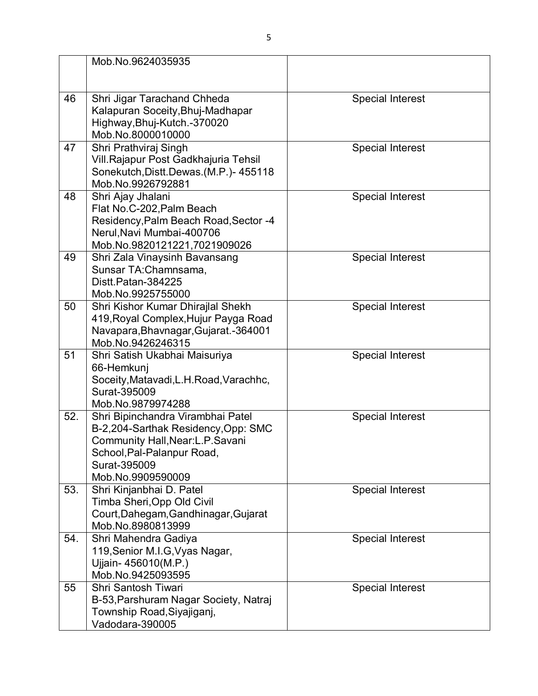|     | Mob.No.9624035935                          |                         |
|-----|--------------------------------------------|-------------------------|
|     |                                            |                         |
|     |                                            |                         |
| 46  | Shri Jigar Tarachand Chheda                | <b>Special Interest</b> |
|     | Kalapuran Soceity, Bhuj-Madhapar           |                         |
|     | Highway, Bhuj-Kutch.-370020                |                         |
|     | Mob.No.8000010000                          |                         |
| 47  | Shri Prathviraj Singh                      | <b>Special Interest</b> |
|     | Vill. Rajapur Post Gadkhajuria Tehsil      |                         |
|     | Sonekutch, Distt. Dewas. (M.P.)-455118     |                         |
|     | Mob.No.9926792881                          |                         |
| 48  | Shri Ajay Jhalani                          | <b>Special Interest</b> |
|     | Flat No.C-202, Palm Beach                  |                         |
|     | Residency, Palm Beach Road, Sector -4      |                         |
|     | Nerul, Navi Mumbai-400706                  |                         |
|     | Mob.No.9820121221,7021909026               |                         |
| 49  | Shri Zala Vinaysinh Bavansang              | <b>Special Interest</b> |
|     | Sunsar TA:Chamnsama,<br>Distt.Patan-384225 |                         |
|     | Mob.No.9925755000                          |                         |
| 50  | Shri Kishor Kumar Dhirajlal Shekh          | <b>Special Interest</b> |
|     | 419, Royal Complex, Hujur Payga Road       |                         |
|     | Navapara, Bhavnagar, Gujarat. - 364001     |                         |
|     | Mob.No.9426246315                          |                         |
| 51  | Shri Satish Ukabhai Maisuriya              | <b>Special Interest</b> |
|     | 66-Hemkunj                                 |                         |
|     | Soceity, Matavadi, L.H. Road, Varachhc,    |                         |
|     | Surat-395009                               |                         |
|     | Mob.No.9879974288                          |                         |
| 52. | Shri Bipinchandra Virambhai Patel          | <b>Special Interest</b> |
|     | B-2,204-Sarthak Residency, Opp: SMC        |                         |
|     | Community Hall, Near: L.P. Savani          |                         |
|     | School, Pal-Palanpur Road,                 |                         |
|     | Surat-395009                               |                         |
|     | Mob.No.9909590009                          |                         |
| 53. | Shri Kinjanbhai D. Patel                   | <b>Special Interest</b> |
|     | Timba Sheri, Opp Old Civil                 |                         |
|     | Court, Dahegam, Gandhinagar, Gujarat       |                         |
|     | Mob.No.8980813999                          |                         |
| 54. | Shri Mahendra Gadiya                       | <b>Special Interest</b> |
|     | 119, Senior M.I.G, Vyas Nagar,             |                         |
|     | Ujjain- 456010(M.P.)                       |                         |
|     | Mob.No.9425093595                          |                         |
| 55  | Shri Santosh Tiwari                        | Special Interest        |
|     | B-53, Parshuram Nagar Society, Natraj      |                         |
|     | Township Road, Siyajiganj,                 |                         |
|     | Vadodara-390005                            |                         |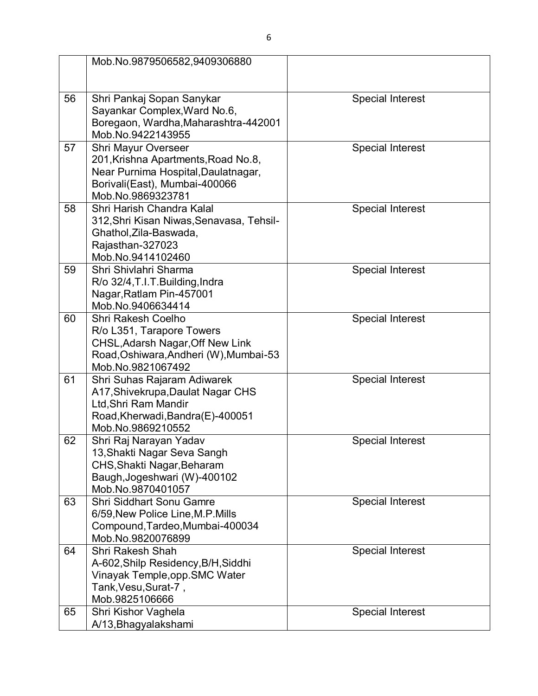|    | Mob.No.9879506582,9409306880                                                                                                                                   |                         |
|----|----------------------------------------------------------------------------------------------------------------------------------------------------------------|-------------------------|
| 56 | Shri Pankaj Sopan Sanykar<br>Sayankar Complex, Ward No.6,<br>Boregaon, Wardha, Maharashtra-442001<br>Mob.No.9422143955                                         | <b>Special Interest</b> |
| 57 | <b>Shri Mayur Overseer</b><br>201, Krishna Apartments, Road No.8,<br>Near Purnima Hospital, Daulatnagar,<br>Borivali(East), Mumbai-400066<br>Mob.No.9869323781 | <b>Special Interest</b> |
| 58 | Shri Harish Chandra Kalal<br>312, Shri Kisan Niwas, Senavasa, Tehsil-<br>Ghathol, Zila-Baswada,<br>Rajasthan-327023<br>Mob.No.9414102460                       | <b>Special Interest</b> |
| 59 | Shri Shivlahri Sharma<br>R/o 32/4, T.I. T. Building, Indra<br>Nagar, Ratlam Pin-457001<br>Mob.No.9406634414                                                    | <b>Special Interest</b> |
| 60 | Shri Rakesh Coelho<br>R/o L351, Tarapore Towers<br>CHSL, Adarsh Nagar, Off New Link<br>Road, Oshiwara, Andheri (W), Mumbai-53<br>Mob.No.9821067492             | <b>Special Interest</b> |
| 61 | Shri Suhas Rajaram Adiwarek<br>A17, Shivekrupa, Daulat Nagar CHS<br>Ltd, Shri Ram Mandir<br>Road, Kherwadi, Bandra(E)-400051<br>Mob.No.9869210552              | Special Interest        |
| 62 | Shri Raj Narayan Yadav<br>13, Shakti Nagar Seva Sangh<br>CHS, Shakti Nagar, Beharam<br>Baugh, Jogeshwari (W)-400102<br>Mob.No.9870401057                       | <b>Special Interest</b> |
| 63 | Shri Siddhart Sonu Gamre<br>6/59, New Police Line, M.P. Mills<br>Compound, Tardeo, Mumbai-400034<br>Mob.No.9820076899                                          | <b>Special Interest</b> |
| 64 | <b>Shri Rakesh Shah</b><br>A-602, Shilp Residency, B/H, Siddhi<br>Vinayak Temple, opp. SMC Water<br>Tank, Vesu, Surat-7,<br>Mob.9825106666                     | <b>Special Interest</b> |
| 65 | Shri Kishor Vaghela<br>A/13, Bhagyalakshami                                                                                                                    | <b>Special Interest</b> |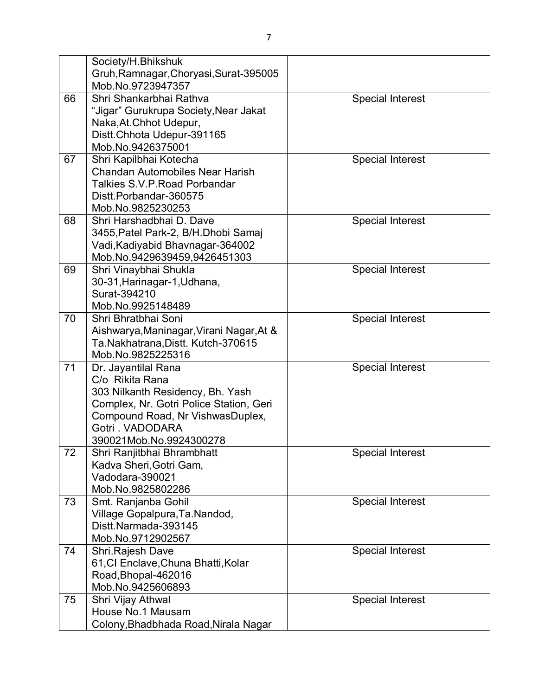|    | Society/H.Bhikshuk                                      |                         |
|----|---------------------------------------------------------|-------------------------|
|    | Gruh, Ramnagar, Choryasi, Surat-395005                  |                         |
|    | Mob.No.9723947357                                       |                         |
| 66 | Shri Shankarbhai Rathva                                 | <b>Special Interest</b> |
|    | "Jigar" Gurukrupa Society, Near Jakat                   |                         |
|    | Naka, At. Chhot Udepur,                                 |                         |
|    | Distt.Chhota Udepur-391165                              |                         |
|    | Mob.No.9426375001                                       |                         |
| 67 | Shri Kapilbhai Kotecha                                  | <b>Special Interest</b> |
|    | <b>Chandan Automobiles Near Harish</b>                  |                         |
|    | <b>Talkies S.V.P. Road Porbandar</b>                    |                         |
|    | Distt.Porbandar-360575                                  |                         |
|    | Mob.No.9825230253                                       |                         |
| 68 | Shri Harshadbhai D. Dave                                | <b>Special Interest</b> |
|    | 3455, Patel Park-2, B/H. Dhobi Samaj                    |                         |
|    | Vadi, Kadiyabid Bhavnagar-364002                        |                         |
|    | Mob.No.9429639459,9426451303                            |                         |
| 69 | Shri Vinaybhai Shukla                                   | <b>Special Interest</b> |
|    | 30-31, Harinagar-1, Udhana,                             |                         |
|    | Surat-394210                                            |                         |
|    | Mob.No.9925148489                                       |                         |
| 70 | Shri Bhratbhai Soni                                     | <b>Special Interest</b> |
|    | Aishwarya, Maninagar, Virani Nagar, At &                |                         |
|    | Ta.Nakhatrana,Distt. Kutch-370615                       |                         |
|    | Mob.No.9825225316                                       |                         |
| 71 | Dr. Jayantilal Rana                                     | Special Interest        |
|    | C/o Rikita Rana                                         |                         |
|    | 303 Nilkanth Residency, Bh. Yash                        |                         |
|    | Complex, Nr. Gotri Police Station, Geri                 |                         |
|    | Compound Road, Nr VishwasDuplex,                        |                         |
|    | Gotri . VADODARA                                        |                         |
|    | 390021Mob.No.9924300278                                 |                         |
| 72 | Shri Ranjitbhai Bhrambhatt                              | <b>Special Interest</b> |
|    | Kadva Sheri, Gotri Gam,                                 |                         |
|    | Vadodara-390021                                         |                         |
|    | Mob.No.9825802286                                       |                         |
| 73 | Smt. Ranjanba Gohil                                     | <b>Special Interest</b> |
|    | Village Gopalpura, Ta. Nandod,                          |                         |
|    | Distt.Narmada-393145                                    |                         |
|    | Mob.No.9712902567                                       |                         |
| 74 | Shri Rajesh Dave<br>61, CI Enclave, Chuna Bhatti, Kolar | <b>Special Interest</b> |
|    |                                                         |                         |
|    | Road, Bhopal-462016<br>Mob.No.9425606893                |                         |
| 75 |                                                         |                         |
|    | Shri Vijay Athwal<br>House No.1 Mausam                  | <b>Special Interest</b> |
|    |                                                         |                         |
|    | Colony, Bhadbhada Road, Nirala Nagar                    |                         |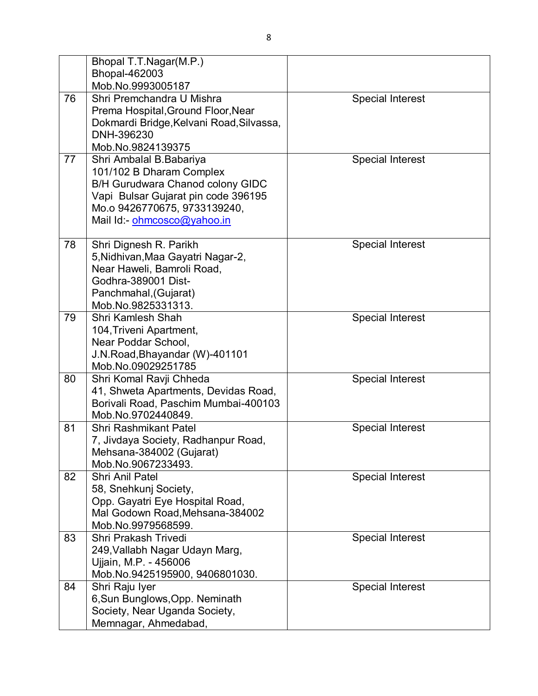|    | Bhopal T.T.Nagar(M.P.)                           |                         |
|----|--------------------------------------------------|-------------------------|
|    | Bhopal-462003                                    |                         |
|    | Mob.No.9993005187                                |                         |
| 76 | Shri Premchandra U Mishra                        | <b>Special Interest</b> |
|    | Prema Hospital, Ground Floor, Near               |                         |
|    | Dokmardi Bridge, Kelvani Road, Silvassa,         |                         |
|    | DNH-396230                                       |                         |
|    | Mob.No.9824139375                                |                         |
| 77 | Shri Ambalal B.Babariya                          | <b>Special Interest</b> |
|    | 101/102 B Dharam Complex                         |                         |
|    | B/H Gurudwara Chanod colony GIDC                 |                         |
|    | Vapi Bulsar Gujarat pin code 396195              |                         |
|    | Mo.o 9426770675, 9733139240,                     |                         |
|    | Mail Id:- ohmcosco@yahoo.in                      |                         |
|    |                                                  |                         |
| 78 | Shri Dignesh R. Parikh                           | <b>Special Interest</b> |
|    | 5, Nidhivan, Maa Gayatri Nagar-2,                |                         |
|    | Near Haweli, Bamroli Road,                       |                         |
|    | Godhra-389001 Dist-                              |                         |
|    | Panchmahal, (Gujarat)<br>Mob.No.9825331313.      |                         |
| 79 | Shri Kamlesh Shah                                | <b>Special Interest</b> |
|    | 104, Triveni Apartment,                          |                         |
|    | Near Poddar School,                              |                         |
|    | J.N. Road, Bhayandar (W)-401101                  |                         |
|    | Mob.No.09029251785                               |                         |
| 80 | Shri Komal Ravji Chheda                          | <b>Special Interest</b> |
|    | 41, Shweta Apartments, Devidas Road,             |                         |
|    | Borivali Road, Paschim Mumbai-400103             |                         |
|    | Mob.No.9702440849.                               |                         |
| 81 | <b>Shri Rashmikant Patel</b>                     | <b>Special Interest</b> |
|    | 7, Jivdaya Society, Radhanpur Road,              |                         |
|    | Mehsana-384002 (Gujarat)                         |                         |
|    | Mob.No.9067233493.                               |                         |
| 82 | <b>Shri Anil Patel</b>                           | <b>Special Interest</b> |
|    | 58, Snehkunj Society,                            |                         |
|    | Opp. Gayatri Eye Hospital Road,                  |                         |
|    | Mal Godown Road, Mehsana-384002                  |                         |
|    | Mob.No.9979568599.                               |                         |
| 83 | Shri Prakash Trivedi                             | <b>Special Interest</b> |
|    | 249, Vallabh Nagar Udayn Marg,                   |                         |
|    | Ujjain, M.P. - 456006                            |                         |
| 84 | Mob.No.9425195900, 9406801030.                   | <b>Special Interest</b> |
|    | Shri Raju Iyer<br>6, Sun Bunglows, Opp. Neminath |                         |
|    | Society, Near Uganda Society,                    |                         |
|    | Memnagar, Ahmedabad,                             |                         |
|    |                                                  |                         |